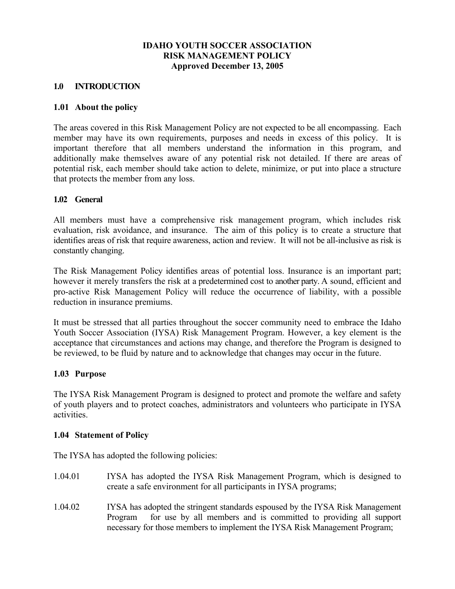## **IDAHO YOUTH SOCCER ASSOCIATION RISK MANAGEMENT POLICY Approved December 13, 2005**

## **1.0 INTRODUCTION**

## **1.01 About the policy**

The areas covered in this Risk Management Policy are not expected to be all encompassing. Each member may have its own requirements, purposes and needs in excess of this policy. It is important therefore that all members understand the information in this program, and additionally make themselves aware of any potential risk not detailed. If there are areas of potential risk, each member should take action to delete, minimize, or put into place a structure that protects the member from any loss.

## **1.02 General**

All members must have a comprehensive risk management program, which includes risk evaluation, risk avoidance, and insurance. The aim of this policy is to create a structure that identifies areas of risk that require awareness, action and review. It will not be all-inclusive as risk is constantly changing.

The Risk Management Policy identifies areas of potential loss. Insurance is an important part; however it merely transfers the risk at a predetermined cost to another party. A sound, efficient and pro-active Risk Management Policy will reduce the occurrence of liability, with a possible reduction in insurance premiums.

It must be stressed that all parties throughout the soccer community need to embrace the Idaho Youth Soccer Association (IYSA) Risk Management Program. However, a key element is the acceptance that circumstances and actions may change, and therefore the Program is designed to be reviewed, to be fluid by nature and to acknowledge that changes may occur in the future.

## **1.03 Purpose**

The IYSA Risk Management Program is designed to protect and promote the welfare and safety of youth players and to protect coaches, administrators and volunteers who participate in IYSA activities.

## **1.04 Statement of Policy**

The IYSA has adopted the following policies:

- 1.04.01 IYSA has adopted the IYSA Risk Management Program, which is designed to create a safe environment for all participants in IYSA programs;
- 1.04.02 IYSA has adopted the stringent standards espoused by the IYSA Risk Management Program for use by all members and is committed to providing all support necessary for those members to implement the IYSA Risk Management Program;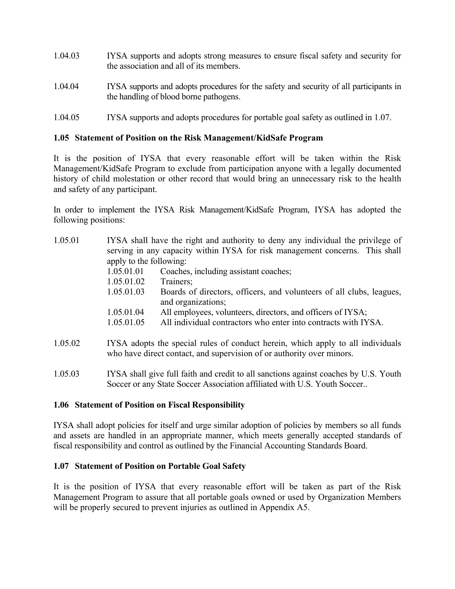- 1.04.03 IYSA supports and adopts strong measures to ensure fiscal safety and security for the association and all of its members.
- 1.04.04 IYSA supports and adopts procedures for the safety and security of all participants in the handling of blood borne pathogens.
- 1.04.05 IYSA supports and adopts procedures for portable goal safety as outlined in 1.07.

## **1.05 Statement of Position on the Risk Management/KidSafe Program**

It is the position of IYSA that every reasonable effort will be taken within the Risk Management/KidSafe Program to exclude from participation anyone with a legally documented history of child molestation or other record that would bring an unnecessary risk to the health and safety of any participant.

In order to implement the IYSA Risk Management/KidSafe Program, IYSA has adopted the following positions:

| 1.05.01 |                                                                              | IYSA shall have the right and authority to deny any individual the privilege of                                                                          |  |
|---------|------------------------------------------------------------------------------|----------------------------------------------------------------------------------------------------------------------------------------------------------|--|
|         | serving in any capacity within IYSA for risk management concerns. This shall |                                                                                                                                                          |  |
|         | apply to the following:                                                      |                                                                                                                                                          |  |
|         | 1.05.01.01                                                                   | Coaches, including assistant coaches;                                                                                                                    |  |
|         | 1.05.01.02                                                                   | Trainers;                                                                                                                                                |  |
|         | 1.05.01.03                                                                   | Boards of directors, officers, and volunteers of all clubs, leagues,<br>and organizations;                                                               |  |
|         | 1.05.01.04                                                                   | All employees, volunteers, directors, and officers of IYSA;                                                                                              |  |
|         | 1.05.01.05                                                                   | All individual contractors who enter into contracts with IYSA.                                                                                           |  |
| 1.05.02 |                                                                              | IYSA adopts the special rules of conduct herein, which apply to all individuals<br>who have direct contact, and supervision of or authority over minors. |  |

1.05.03 IYSA shall give full faith and credit to all sanctions against coaches by U.S. Youth Soccer or any State Soccer Association affiliated with U.S. Youth Soccer..

## **1.06 Statement of Position on Fiscal Responsibility**

IYSA shall adopt policies for itself and urge similar adoption of policies by members so all funds and assets are handled in an appropriate manner, which meets generally accepted standards of fiscal responsibility and control as outlined by the Financial Accounting Standards Board.

## **1.07 Statement of Position on Portable Goal Safety**

It is the position of IYSA that every reasonable effort will be taken as part of the Risk Management Program to assure that all portable goals owned or used by Organization Members will be properly secured to prevent injuries as outlined in Appendix A5.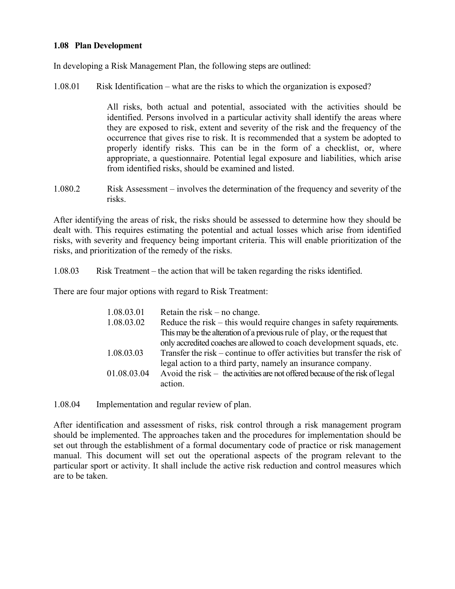## **1.08 Plan Development**

In developing a Risk Management Plan, the following steps are outlined:

1.08.01 Risk Identification – what are the risks to which the organization is exposed?

 All risks, both actual and potential, associated with the activities should be identified. Persons involved in a particular activity shall identify the areas where they are exposed to risk, extent and severity of the risk and the frequency of the occurrence that gives rise to risk. It is recommended that a system be adopted to properly identify risks. This can be in the form of a checklist, or, where appropriate, a questionnaire. Potential legal exposure and liabilities, which arise from identified risks, should be examined and listed.

1.080.2 Risk Assessment – involves the determination of the frequency and severity of the risks.

After identifying the areas of risk, the risks should be assessed to determine how they should be dealt with. This requires estimating the potential and actual losses which arise from identified risks, with severity and frequency being important criteria. This will enable prioritization of the risks, and prioritization of the remedy of the risks.

1.08.03 Risk Treatment – the action that will be taken regarding the risks identified.

There are four major options with regard to Risk Treatment:

| 1.08.03.01  | Retain the risk $-$ no change.                                                 |
|-------------|--------------------------------------------------------------------------------|
| 1.08.03.02  | Reduce the risk – this would require changes in safety requirements.           |
|             | This may be the alteration of a previous rule of play, or the request that     |
|             | only accredited coaches are allowed to coach development squads, etc.          |
| 1.08.03.03  | Transfer the risk – continue to offer activities but transfer the risk of      |
|             | legal action to a third party, namely an insurance company.                    |
| 01.08.03.04 | Avoid the risk $-$ the activities are not offered because of the risk of legal |
|             | action.                                                                        |
|             |                                                                                |

1.08.04 Implementation and regular review of plan.

After identification and assessment of risks, risk control through a risk management program should be implemented. The approaches taken and the procedures for implementation should be set out through the establishment of a formal documentary code of practice or risk management manual. This document will set out the operational aspects of the program relevant to the particular sport or activity. It shall include the active risk reduction and control measures which are to be taken.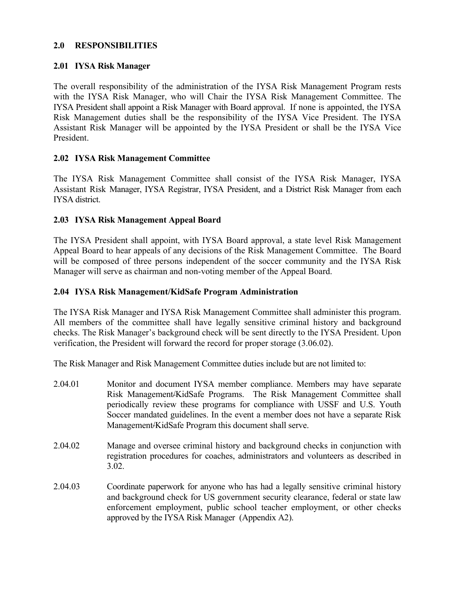## **2.0 RESPONSIBILITIES**

## **2.01 IYSA Risk Manager**

The overall responsibility of the administration of the IYSA Risk Management Program rests with the IYSA Risk Manager, who will Chair the IYSA Risk Management Committee. The IYSA President shall appoint a Risk Manager with Board approval. If none is appointed, the IYSA Risk Management duties shall be the responsibility of the IYSA Vice President. The IYSA Assistant Risk Manager will be appointed by the IYSA President or shall be the IYSA Vice President.

## **2.02 IYSA Risk Management Committee**

The IYSA Risk Management Committee shall consist of the IYSA Risk Manager, IYSA Assistant Risk Manager, IYSA Registrar, IYSA President, and a District Risk Manager from each IYSA district.

## **2.03 IYSA Risk Management Appeal Board**

The IYSA President shall appoint, with IYSA Board approval, a state level Risk Management Appeal Board to hear appeals of any decisions of the Risk Management Committee. The Board will be composed of three persons independent of the soccer community and the IYSA Risk Manager will serve as chairman and non-voting member of the Appeal Board.

## **2.04 IYSA Risk Management/KidSafe Program Administration**

The IYSA Risk Manager and IYSA Risk Management Committee shall administer this program. All members of the committee shall have legally sensitive criminal history and background checks. The Risk Manager's background check will be sent directly to the IYSA President. Upon verification, the President will forward the record for proper storage (3.06.02).

The Risk Manager and Risk Management Committee duties include but are not limited to:

- 2.04.01 Monitor and document IYSA member compliance. Members may have separate Risk Management/KidSafe Programs. The Risk Management Committee shall periodically review these programs for compliance with USSF and U.S. Youth Soccer mandated guidelines. In the event a member does not have a separate Risk Management/KidSafe Program this document shall serve.
- 2.04.02 Manage and oversee criminal history and background checks in conjunction with registration procedures for coaches, administrators and volunteers as described in 3.02.
- 2.04.03 Coordinate paperwork for anyone who has had a legally sensitive criminal history and background check for US government security clearance, federal or state law enforcement employment, public school teacher employment, or other checks approved by the IYSA Risk Manager (Appendix A2).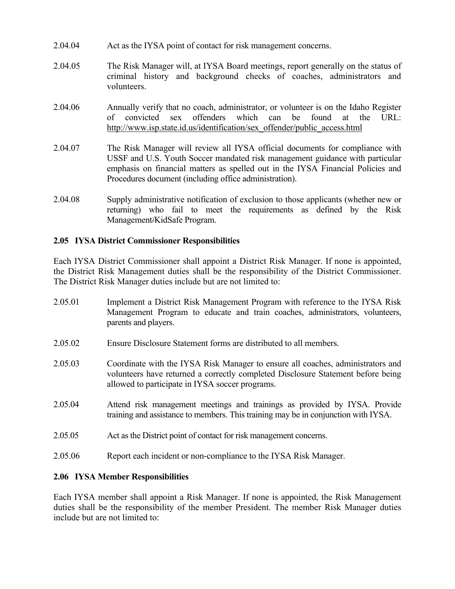- 2.04.04 Act as the IYSA point of contact for risk management concerns.
- 2.04.05 The Risk Manager will, at IYSA Board meetings, report generally on the status of criminal history and background checks of coaches, administrators and volunteers.
- 2.04.06 Annually verify that no coach, administrator, or volunteer is on the Idaho Register of convicted sex offenders which can be found at the URL: http://www.isp.state.id.us/identification/sex\_offender/public\_access.html
- 2.04.07 The Risk Manager will review all IYSA official documents for compliance with USSF and U.S. Youth Soccer mandated risk management guidance with particular emphasis on financial matters as spelled out in the IYSA Financial Policies and Procedures document (including office administration).
- 2.04.08 Supply administrative notification of exclusion to those applicants (whether new or returning) who fail to meet the requirements as defined by the Risk Management/KidSafe Program.

## **2.05 IYSA District Commissioner Responsibilities**

Each IYSA District Commissioner shall appoint a District Risk Manager. If none is appointed, the District Risk Management duties shall be the responsibility of the District Commissioner. The District Risk Manager duties include but are not limited to:

- 2.05.01 Implement a District Risk Management Program with reference to the IYSA Risk Management Program to educate and train coaches, administrators, volunteers, parents and players.
- 2.05.02 Ensure Disclosure Statement forms are distributed to all members.
- 2.05.03 Coordinate with the IYSA Risk Manager to ensure all coaches, administrators and volunteers have returned a correctly completed Disclosure Statement before being allowed to participate in IYSA soccer programs.
- 2.05.04 Attend risk management meetings and trainings as provided by IYSA. Provide training and assistance to members. This training may be in conjunction with IYSA.
- 2.05.05 Act as the District point of contact for risk management concerns.
- 2.05.06 Report each incident or non-compliance to the IYSA Risk Manager.

## **2.06 IYSA Member Responsibilities**

Each IYSA member shall appoint a Risk Manager. If none is appointed, the Risk Management duties shall be the responsibility of the member President. The member Risk Manager duties include but are not limited to: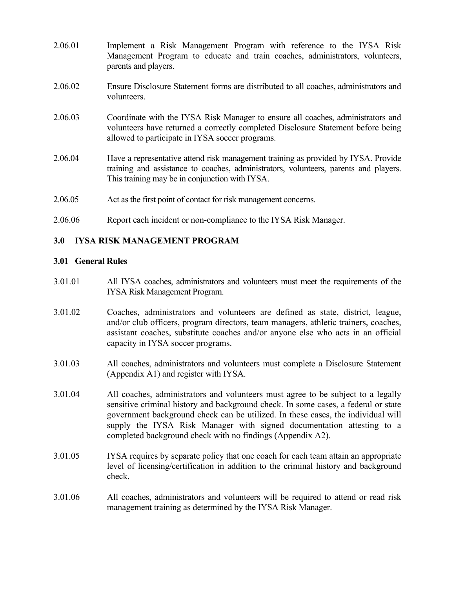- 2.06.01 Implement a Risk Management Program with reference to the IYSA Risk Management Program to educate and train coaches, administrators, volunteers, parents and players.
- 2.06.02 Ensure Disclosure Statement forms are distributed to all coaches, administrators and volunteers.
- 2.06.03 Coordinate with the IYSA Risk Manager to ensure all coaches, administrators and volunteers have returned a correctly completed Disclosure Statement before being allowed to participate in IYSA soccer programs.
- 2.06.04 Have a representative attend risk management training as provided by IYSA. Provide training and assistance to coaches, administrators, volunteers, parents and players. This training may be in conjunction with IYSA.
- 2.06.05 Act as the first point of contact for risk management concerns.
- 2.06.06 Report each incident or non-compliance to the IYSA Risk Manager.

## **3.0 IYSA RISK MANAGEMENT PROGRAM**

#### **3.01 General Rules**

- 3.01.01 All IYSA coaches, administrators and volunteers must meet the requirements of the IYSA Risk Management Program.
- 3.01.02 Coaches, administrators and volunteers are defined as state, district, league, and/or club officers, program directors, team managers, athletic trainers, coaches, assistant coaches, substitute coaches and/or anyone else who acts in an official capacity in IYSA soccer programs.
- 3.01.03 All coaches, administrators and volunteers must complete a Disclosure Statement (Appendix A1) and register with IYSA.
- 3.01.04 All coaches, administrators and volunteers must agree to be subject to a legally sensitive criminal history and background check. In some cases, a federal or state government background check can be utilized. In these cases, the individual will supply the IYSA Risk Manager with signed documentation attesting to a completed background check with no findings (Appendix A2).
- 3.01.05 IYSA requires by separate policy that one coach for each team attain an appropriate level of licensing/certification in addition to the criminal history and background check.
- 3.01.06 All coaches, administrators and volunteers will be required to attend or read risk management training as determined by the IYSA Risk Manager.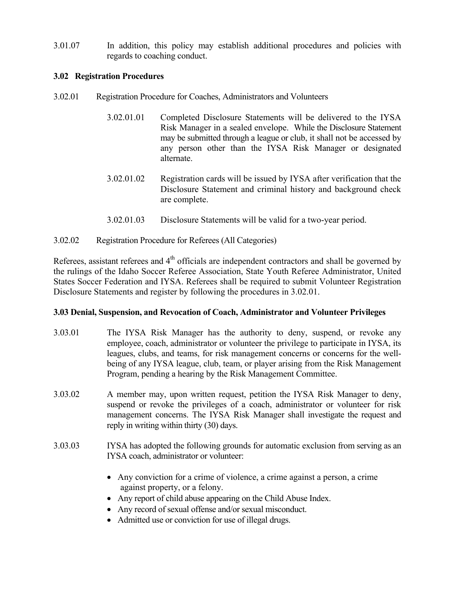3.01.07 In addition, this policy may establish additional procedures and policies with regards to coaching conduct.

## **3.02 Registration Procedures**

- 3.02.01 Registration Procedure for Coaches, Administrators and Volunteers
	- 3.02.01.01 Completed Disclosure Statements will be delivered to the IYSA Risk Manager in a sealed envelope. While the Disclosure Statement may be submitted through a league or club, it shall not be accessed by any person other than the IYSA Risk Manager or designated alternate.
	- 3.02.01.02 Registration cards will be issued by IYSA after verification that the Disclosure Statement and criminal history and background check are complete.
	- 3.02.01.03 Disclosure Statements will be valid for a two-year period.
- 3.02.02 Registration Procedure for Referees (All Categories)

Referees, assistant referees and  $4<sup>th</sup>$  officials are independent contractors and shall be governed by the rulings of the Idaho Soccer Referee Association, State Youth Referee Administrator, United States Soccer Federation and IYSA. Referees shall be required to submit Volunteer Registration Disclosure Statements and register by following the procedures in 3.02.01.

## **3.03 Denial, Suspension, and Revocation of Coach, Administrator and Volunteer Privileges**

- 3.03.01 The IYSA Risk Manager has the authority to deny, suspend, or revoke any employee, coach, administrator or volunteer the privilege to participate in IYSA, its leagues, clubs, and teams, for risk management concerns or concerns for the wellbeing of any IYSA league, club, team, or player arising from the Risk Management Program, pending a hearing by the Risk Management Committee.
- 3.03.02 A member may, upon written request, petition the IYSA Risk Manager to deny, suspend or revoke the privileges of a coach, administrator or volunteer for risk management concerns. The IYSA Risk Manager shall investigate the request and reply in writing within thirty (30) days.
- 3.03.03 IYSA has adopted the following grounds for automatic exclusion from serving as an IYSA coach, administrator or volunteer:
	- Any conviction for a crime of violence, a crime against a person, a crime against property, or a felony.
	- Any report of child abuse appearing on the Child Abuse Index.
	- Any record of sexual offense and/or sexual misconduct.
	- Admitted use or conviction for use of illegal drugs.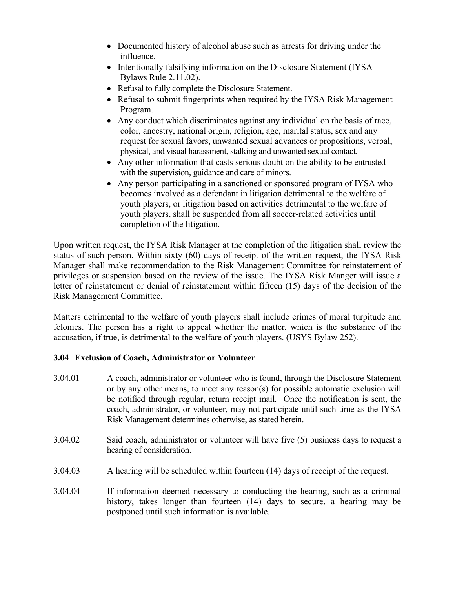- Documented history of alcohol abuse such as arrests for driving under the influence.
- Intentionally falsifying information on the Disclosure Statement (IYSA) Bylaws Rule 2.11.02).
- Refusal to fully complete the Disclosure Statement.
- Refusal to submit fingerprints when required by the IYSA Risk Management Program.
- Any conduct which discriminates against any individual on the basis of race, color, ancestry, national origin, religion, age, marital status, sex and any request for sexual favors, unwanted sexual advances or propositions, verbal, physical, and visual harassment, stalking and unwanted sexual contact.
- Any other information that casts serious doubt on the ability to be entrusted with the supervision, guidance and care of minors.
- Any person participating in a sanctioned or sponsored program of IYSA who becomes involved as a defendant in litigation detrimental to the welfare of youth players, or litigation based on activities detrimental to the welfare of youth players, shall be suspended from all soccer-related activities until completion of the litigation.

Upon written request, the IYSA Risk Manager at the completion of the litigation shall review the status of such person. Within sixty (60) days of receipt of the written request, the IYSA Risk Manager shall make recommendation to the Risk Management Committee for reinstatement of privileges or suspension based on the review of the issue. The IYSA Risk Manger will issue a letter of reinstatement or denial of reinstatement within fifteen (15) days of the decision of the Risk Management Committee.

Matters detrimental to the welfare of youth players shall include crimes of moral turpitude and felonies. The person has a right to appeal whether the matter, which is the substance of the accusation, if true, is detrimental to the welfare of youth players. (USYS Bylaw 252).

## **3.04 Exclusion of Coach, Administrator or Volunteer**

- 3.04.01 A coach, administrator or volunteer who is found, through the Disclosure Statement or by any other means, to meet any reason(s) for possible automatic exclusion will be notified through regular, return receipt mail. Once the notification is sent, the coach, administrator, or volunteer, may not participate until such time as the IYSA Risk Management determines otherwise, as stated herein.
- 3.04.02 Said coach, administrator or volunteer will have five (5) business days to request a hearing of consideration.
- 3.04.03 A hearing will be scheduled within fourteen (14) days of receipt of the request.
- 3.04.04 If information deemed necessary to conducting the hearing, such as a criminal history, takes longer than fourteen (14) days to secure, a hearing may be postponed until such information is available.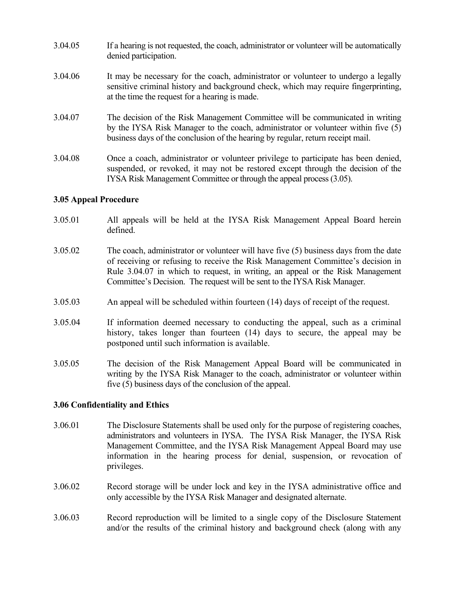- 3.04.05 If a hearing is not requested, the coach, administrator or volunteer will be automatically denied participation.
- 3.04.06 It may be necessary for the coach, administrator or volunteer to undergo a legally sensitive criminal history and background check, which may require fingerprinting, at the time the request for a hearing is made.
- 3.04.07 The decision of the Risk Management Committee will be communicated in writing by the IYSA Risk Manager to the coach, administrator or volunteer within five (5) business days of the conclusion of the hearing by regular, return receipt mail.
- 3.04.08 Once a coach, administrator or volunteer privilege to participate has been denied, suspended, or revoked, it may not be restored except through the decision of the IYSA Risk Management Committee or through the appeal process (3.05).

## **3.05 Appeal Procedure**

- 3.05.01 All appeals will be held at the IYSA Risk Management Appeal Board herein defined.
- 3.05.02 The coach, administrator or volunteer will have five (5) business days from the date of receiving or refusing to receive the Risk Management Committee's decision in Rule 3.04.07 in which to request, in writing, an appeal or the Risk Management Committee's Decision. The request will be sent to the IYSA Risk Manager.
- 3.05.03 An appeal will be scheduled within fourteen (14) days of receipt of the request.
- 3.05.04 If information deemed necessary to conducting the appeal, such as a criminal history, takes longer than fourteen (14) days to secure, the appeal may be postponed until such information is available.
- 3.05.05 The decision of the Risk Management Appeal Board will be communicated in writing by the IYSA Risk Manager to the coach, administrator or volunteer within five (5) business days of the conclusion of the appeal.

## **3.06 Confidentiality and Ethics**

- 3.06.01 The Disclosure Statements shall be used only for the purpose of registering coaches, administrators and volunteers in IYSA. The IYSA Risk Manager, the IYSA Risk Management Committee, and the IYSA Risk Management Appeal Board may use information in the hearing process for denial, suspension, or revocation of privileges.
- 3.06.02 Record storage will be under lock and key in the IYSA administrative office and only accessible by the IYSA Risk Manager and designated alternate.
- 3.06.03 Record reproduction will be limited to a single copy of the Disclosure Statement and/or the results of the criminal history and background check (along with any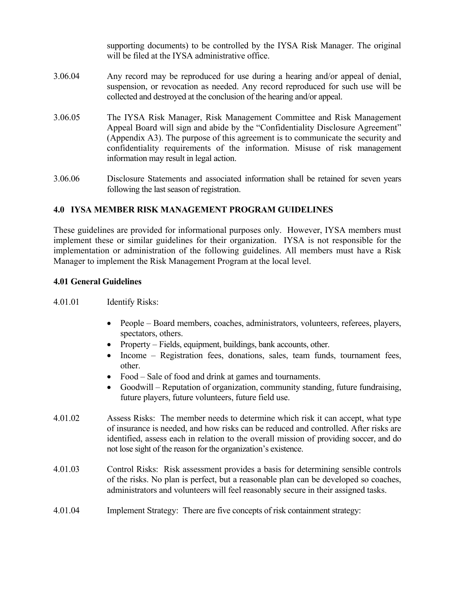|         | supporting documents) to be controlled by the IYSA Risk Manager. The original<br>will be filed at the IYSA administrative office.                                                                                                                                                                                                                                  |
|---------|--------------------------------------------------------------------------------------------------------------------------------------------------------------------------------------------------------------------------------------------------------------------------------------------------------------------------------------------------------------------|
| 3.06.04 | Any record may be reproduced for use during a hearing and/or appeal of denial,<br>suspension, or revocation as needed. Any record reproduced for such use will be<br>collected and destroyed at the conclusion of the hearing and/or appeal.                                                                                                                       |
| 3.06.05 | The IYSA Risk Manager, Risk Management Committee and Risk Management<br>Appeal Board will sign and abide by the "Confidentiality Disclosure Agreement"<br>(Appendix A3). The purpose of this agreement is to communicate the security and<br>confidentiality requirements of the information. Misuse of risk management<br>information may result in legal action. |
| 3.06.06 | Disclosure Statements and associated information shall be retained for seven years<br>following the last season of registration.                                                                                                                                                                                                                                   |

## **4.0 IYSA MEMBER RISK MANAGEMENT PROGRAM GUIDELINES**

These guidelines are provided for informational purposes only. However, IYSA members must implement these or similar guidelines for their organization. IYSA is not responsible for the implementation or administration of the following guidelines. All members must have a Risk Manager to implement the Risk Management Program at the local level.

## **4.01 General Guidelines**

- 4.01.01 Identify Risks:
	- People Board members, coaches, administrators, volunteers, referees, players, spectators, others.
	- Property Fields, equipment, buildings, bank accounts, other.
	- Income Registration fees, donations, sales, team funds, tournament fees, other.
	- Food Sale of food and drink at games and tournaments.
	- Goodwill Reputation of organization, community standing, future fundraising, future players, future volunteers, future field use.
- 4.01.02 Assess Risks: The member needs to determine which risk it can accept, what type of insurance is needed, and how risks can be reduced and controlled. After risks are identified, assess each in relation to the overall mission of providing soccer, and do not lose sight of the reason for the organization's existence.
- 4.01.03 Control Risks: Risk assessment provides a basis for determining sensible controls of the risks. No plan is perfect, but a reasonable plan can be developed so coaches, administrators and volunteers will feel reasonably secure in their assigned tasks.
- 4.01.04 Implement Strategy: There are five concepts of risk containment strategy: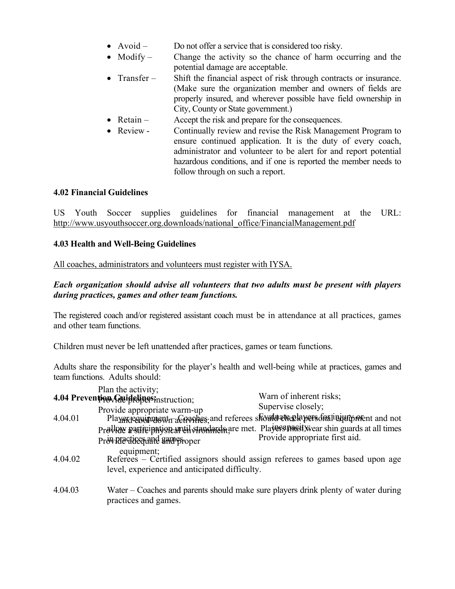- Avoid Do not offer a service that is considered too risky.
- Modify Change the activity so the chance of harm occurring and the potential damage are acceptable.
- Transfer Shift the financial aspect of risk through contracts or insurance. (Make sure the organization member and owners of fields are properly insured, and wherever possible have field ownership in City, County or State government.)
- Retain Accept the risk and prepare for the consequences.
- Review Continually review and revise the Risk Management Program to ensure continued application. It is the duty of every coach, administrator and volunteer to be alert for and report potential hazardous conditions, and if one is reported the member needs to follow through on such a report.

## **4.02 Financial Guidelines**

US Youth Soccer supplies guidelines for financial management at the URL: http://www.usyouthsoccer.org.downloads/national\_office/FinancialManagement.pdf

## **4.03 Health and Well-Being Guidelines**

All coaches, administrators and volunteers must register with IYSA.

## *Each organization should advise all volunteers that two adults must be present with players during practices, games and other team functions.*

The registered coach and/or registered assistant coach must be in attendance at all practices, games and other team functions.

Children must never be left unattended after practices, games or team functions.

Adults share the responsibility for the player's health and well-being while at practices, games and team functions. Adults should:

|         | Plan the activity;<br>4.04 Prevention Tellightines instruction;                                                                                                                                                                   | Warn of inherent risks;                                                           |
|---------|-----------------------------------------------------------------------------------------------------------------------------------------------------------------------------------------------------------------------------------|-----------------------------------------------------------------------------------|
| 4.04.01 | Provide appropriate warm-up<br>Player end referees should alread personality of the property and not<br>ProVRNY participation until standard are met. Players pacitive ar shin guards at all times<br>Providedices and sampsroper | Supervise closely;<br>Provide appropriate first aid.                              |
| 4.04.02 | equipment;<br>level, experience and anticipated difficulty.                                                                                                                                                                       | Referees – Certified assignors should assign referees to games based upon age     |
| 4.04.03 | practices and games.                                                                                                                                                                                                              | Water – Coaches and parents should make sure players drink plenty of water during |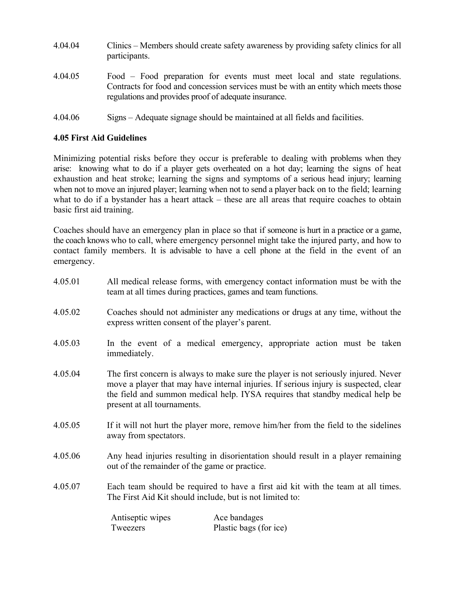- 4.04.04 Clinics Members should create safety awareness by providing safety clinics for all participants.
- 4.04.05 Food Food preparation for events must meet local and state regulations. Contracts for food and concession services must be with an entity which meets those regulations and provides proof of adequate insurance.
- 4.04.06 Signs Adequate signage should be maintained at all fields and facilities.

## **4.05 First Aid Guidelines**

Minimizing potential risks before they occur is preferable to dealing with problems when they arise: knowing what to do if a player gets overheated on a hot day; learning the signs of heat exhaustion and heat stroke; learning the signs and symptoms of a serious head injury; learning when not to move an injured player; learning when not to send a player back on to the field; learning what to do if a bystander has a heart attack – these are all areas that require coaches to obtain basic first aid training.

Coaches should have an emergency plan in place so that if someone is hurt in a practice or a game, the coach knows who to call, where emergency personnel might take the injured party, and how to contact family members. It is advisable to have a cell phone at the field in the event of an emergency.

| 4.05.01 | All medical release forms, with emergency contact information must be with the<br>team at all times during practices, games and team functions. |                                                                                                                                                                                                                                                              |  |
|---------|-------------------------------------------------------------------------------------------------------------------------------------------------|--------------------------------------------------------------------------------------------------------------------------------------------------------------------------------------------------------------------------------------------------------------|--|
| 4.05.02 | Coaches should not administer any medications or drugs at any time, without the<br>express written consent of the player's parent.              |                                                                                                                                                                                                                                                              |  |
| 4.05.03 | immediately.                                                                                                                                    | In the event of a medical emergency, appropriate action must be taken                                                                                                                                                                                        |  |
| 4.05.04 | present at all tournaments.                                                                                                                     | The first concern is always to make sure the player is not seriously injured. Never<br>move a player that may have internal injuries. If serious injury is suspected, clear<br>the field and summon medical help. IYSA requires that standby medical help be |  |
| 4.05.05 | away from spectators.                                                                                                                           | If it will not hurt the player more, remove him/her from the field to the sidelines                                                                                                                                                                          |  |
| 4.05.06 | Any head injuries resulting in disorientation should result in a player remaining<br>out of the remainder of the game or practice.              |                                                                                                                                                                                                                                                              |  |
| 4.05.07 | Each team should be required to have a first aid kit with the team at all times.<br>The First Aid Kit should include, but is not limited to:    |                                                                                                                                                                                                                                                              |  |
|         | Antiseptic wipes<br>Tweezers                                                                                                                    | Ace bandages<br>Plastic bags (for ice)                                                                                                                                                                                                                       |  |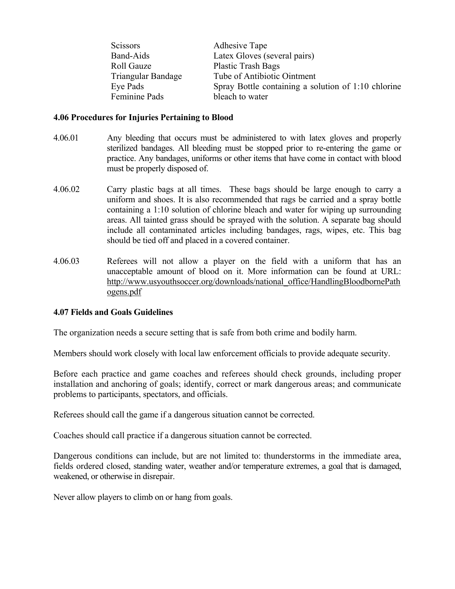| <b>Scissors</b>           | <b>Adhesive Tape</b>                                |
|---------------------------|-----------------------------------------------------|
| <b>Band-Aids</b>          | Latex Gloves (several pairs)                        |
| Roll Gauze                | <b>Plastic Trash Bags</b>                           |
| <b>Triangular Bandage</b> | Tube of Antibiotic Ointment                         |
| Eye Pads                  | Spray Bottle containing a solution of 1:10 chlorine |
| Feminine Pads             | bleach to water                                     |

#### **4.06 Procedures for Injuries Pertaining to Blood**

- 4.06.01 Any bleeding that occurs must be administered to with latex gloves and properly sterilized bandages. All bleeding must be stopped prior to re-entering the game or practice. Any bandages, uniforms or other items that have come in contact with blood must be properly disposed of.
- 4.06.02 Carry plastic bags at all times. These bags should be large enough to carry a uniform and shoes. It is also recommended that rags be carried and a spray bottle containing a 1:10 solution of chlorine bleach and water for wiping up surrounding areas. All tainted grass should be sprayed with the solution. A separate bag should include all contaminated articles including bandages, rags, wipes, etc. This bag should be tied off and placed in a covered container.
- 4.06.03 Referees will not allow a player on the field with a uniform that has an unacceptable amount of blood on it. More information can be found at URL: http://www.usyouthsoccer.org/downloads/national\_office/HandlingBloodbornePath ogens.pdf

#### **4.07 Fields and Goals Guidelines**

The organization needs a secure setting that is safe from both crime and bodily harm.

Members should work closely with local law enforcement officials to provide adequate security.

Before each practice and game coaches and referees should check grounds, including proper installation and anchoring of goals; identify, correct or mark dangerous areas; and communicate problems to participants, spectators, and officials.

Referees should call the game if a dangerous situation cannot be corrected.

Coaches should call practice if a dangerous situation cannot be corrected.

Dangerous conditions can include, but are not limited to: thunderstorms in the immediate area, fields ordered closed, standing water, weather and/or temperature extremes, a goal that is damaged, weakened, or otherwise in disrepair.

Never allow players to climb on or hang from goals.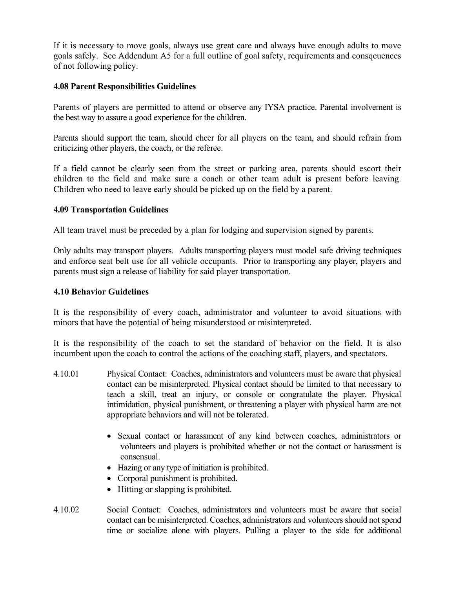If it is necessary to move goals, always use great care and always have enough adults to move goals safely. See Addendum A5 for a full outline of goal safety, requirements and consqeuences of not following policy.

## **4.08 Parent Responsibilities Guidelines**

Parents of players are permitted to attend or observe any IYSA practice. Parental involvement is the best way to assure a good experience for the children.

Parents should support the team, should cheer for all players on the team, and should refrain from criticizing other players, the coach, or the referee.

If a field cannot be clearly seen from the street or parking area, parents should escort their children to the field and make sure a coach or other team adult is present before leaving. Children who need to leave early should be picked up on the field by a parent.

## **4.09 Transportation Guidelines**

All team travel must be preceded by a plan for lodging and supervision signed by parents.

Only adults may transport players. Adults transporting players must model safe driving techniques and enforce seat belt use for all vehicle occupants. Prior to transporting any player, players and parents must sign a release of liability for said player transportation.

## **4.10 Behavior Guidelines**

It is the responsibility of every coach, administrator and volunteer to avoid situations with minors that have the potential of being misunderstood or misinterpreted.

It is the responsibility of the coach to set the standard of behavior on the field. It is also incumbent upon the coach to control the actions of the coaching staff, players, and spectators.

- 4.10.01 Physical Contact: Coaches, administrators and volunteers must be aware that physical contact can be misinterpreted. Physical contact should be limited to that necessary to teach a skill, treat an injury, or console or congratulate the player. Physical intimidation, physical punishment, or threatening a player with physical harm are not appropriate behaviors and will not be tolerated.
	- Sexual contact or harassment of any kind between coaches, administrators or volunteers and players is prohibited whether or not the contact or harassment is consensual.
	- Hazing or any type of initiation is prohibited.
	- Corporal punishment is prohibited.
	- Hitting or slapping is prohibited.
- 4.10.02 Social Contact: Coaches, administrators and volunteers must be aware that social contact can be misinterpreted. Coaches, administrators and volunteers should not spend time or socialize alone with players. Pulling a player to the side for additional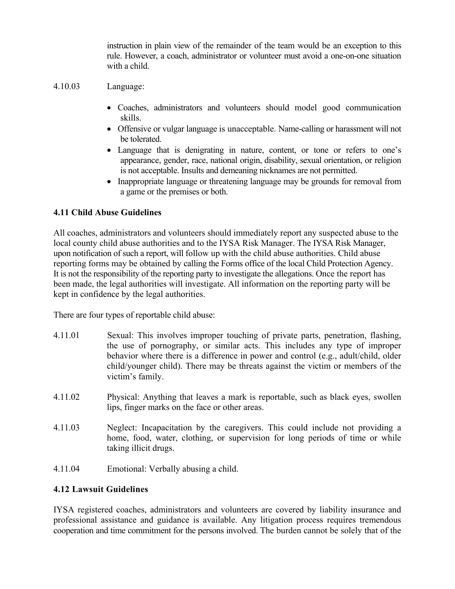instruction in plain view of the remainder of the team would be an exception to this rule. However, a coach, administrator or volunteer must avoid a one-on-one situation with a child.

## 4.10.03 Language:

- Coaches, administrators and volunteers should model good communication skills.
- Offensive or vulgar language is unacceptable. Name-calling or harassment will not be tolerated.
- Language that is denigrating in nature, content, or tone or refers to one's appearance, gender, race, national origin, disability, sexual orientation, or religion is not acceptable. Insults and demeaning nicknames are not permitted.
- Inappropriate language or threatening language may be grounds for removal from a game or the premises or both.

## **4.11 Child Abuse Guidelines**

All coaches, administrators and volunteers should immediately report any suspected abuse to the local county child abuse authorities and to the IYSA Risk Manager. The IYSA Risk Manager, upon notification of such a report, will follow up with the child abuse authorities. Child abuse reporting forms may be obtained by calling the Forms office of the local Child Protection Agency. It is not the responsibility of the reporting party to investigate the allegations. Once the report has been made, the legal authorities will investigate. All information on the reporting party will be kept in confidence by the legal authorities.

There are four types of reportable child abuse:

- 4.11.01 Sexual: This involves improper touching of private parts, penetration, flashing, the use of pornography, or similar acts. This includes any type of improper behavior where there is a difference in power and control (e.g., adult/child, older child/younger child). There may be threats against the victim or members of the victim's family.
- 4.11.02 Physical: Anything that leaves a mark is reportable, such as black eyes, swollen lips, finger marks on the face or other areas.
- 4.11.03 Neglect: Incapacitation by the caregivers. This could include not providing a home, food, water, clothing, or supervision for long periods of time or while taking illicit drugs.
- 4.11.04 Emotional: Verbally abusing a child.

## **4.12 Lawsuit Guidelines**

IYSA registered coaches, administrators and volunteers are covered by liability insurance and professional assistance and guidance is available. Any litigation process requires tremendous cooperation and time commitment for the persons involved. The burden cannot be solely that of the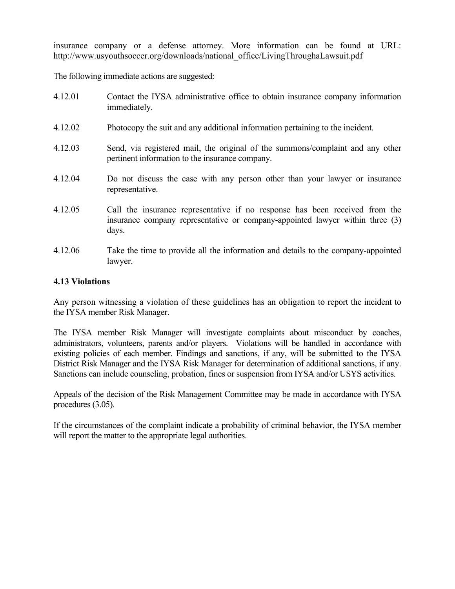insurance company or a defense attorney. More information can be found at URL: http://www.usyouthsoccer.org/downloads/national\_office/LivingThroughaLawsuit.pdf

The following immediate actions are suggested:

| 4.12.01 | Contact the IYSA administrative office to obtain insurance company information<br>immediately.                                                                        |
|---------|-----------------------------------------------------------------------------------------------------------------------------------------------------------------------|
| 4.12.02 | Photocopy the suit and any additional information pertaining to the incident.                                                                                         |
| 4.12.03 | Send, via registered mail, the original of the summons/complaint and any other<br>pertinent information to the insurance company.                                     |
| 4.12.04 | Do not discuss the case with any person other than your lawyer or insurance<br>representative.                                                                        |
| 4.12.05 | Call the insurance representative if no response has been received from the<br>insurance company representative or company-appointed lawyer within three (3)<br>days. |
| 4.12.06 | Take the time to provide all the information and details to the company-appointed<br>lawyer.                                                                          |

## **4.13 Violations**

Any person witnessing a violation of these guidelines has an obligation to report the incident to the IYSA member Risk Manager.

The IYSA member Risk Manager will investigate complaints about misconduct by coaches, administrators, volunteers, parents and/or players. Violations will be handled in accordance with existing policies of each member. Findings and sanctions, if any, will be submitted to the IYSA District Risk Manager and the IYSA Risk Manager for determination of additional sanctions, if any. Sanctions can include counseling, probation, fines or suspension from IYSA and/or USYS activities.

Appeals of the decision of the Risk Management Committee may be made in accordance with IYSA procedures (3.05).

If the circumstances of the complaint indicate a probability of criminal behavior, the IYSA member will report the matter to the appropriate legal authorities.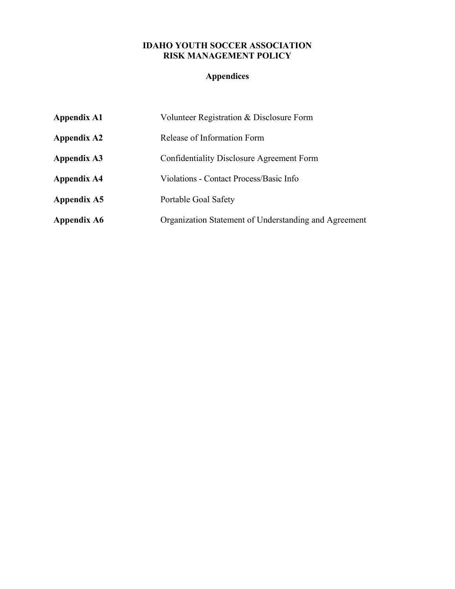## **IDAHO YOUTH SOCCER ASSOCIATION RISK MANAGEMENT POLICY**

# **Appendices**

| <b>Appendix A1</b> | Volunteer Registration & Disclosure Form              |
|--------------------|-------------------------------------------------------|
| <b>Appendix A2</b> | Release of Information Form                           |
| <b>Appendix A3</b> | Confidentiality Disclosure Agreement Form             |
| <b>Appendix A4</b> | Violations - Contact Process/Basic Info               |
| Appendix A5        | Portable Goal Safety                                  |
| <b>Appendix A6</b> | Organization Statement of Understanding and Agreement |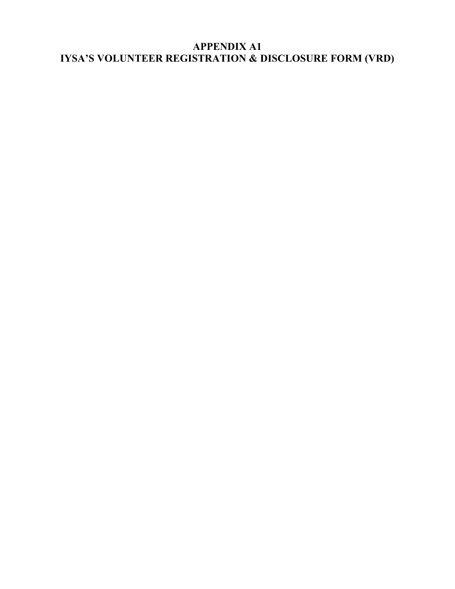# **APPENDIX A1 IYSA'S VOLUNTEER REGISTRATION & DISCLOSURE FORM (VRD)**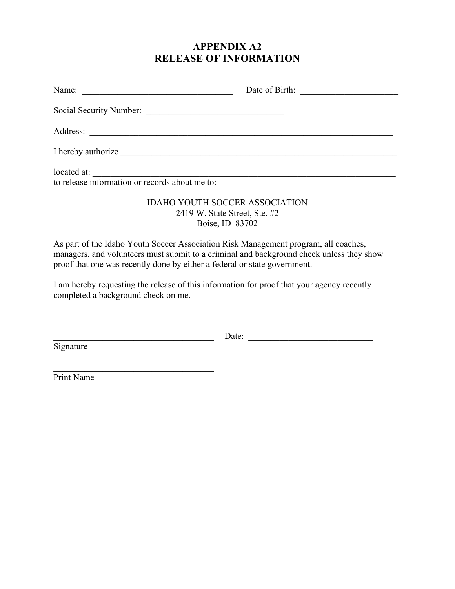# **APPENDIX A2 RELEASE OF INFORMATION**

|                                                               | Date of Birth: |
|---------------------------------------------------------------|----------------|
| Social Security Number:                                       |                |
|                                                               |                |
| I hereby authorize                                            |                |
| located at:<br>to release information or records about me to: |                |
| <b>IDAHO YOUTH SOCCER ASSOCIATION</b>                         |                |

# 2419 W. State Street, Ste. #2 Boise, ID 83702

As part of the Idaho Youth Soccer Association Risk Management program, all coaches, managers, and volunteers must submit to a criminal and background check unless they show proof that one was recently done by either a federal or state government.

I am hereby requesting the release of this information for proof that your agency recently completed a background check on me.

**Signature** 

\_\_\_\_\_\_\_\_\_\_\_\_\_\_\_\_\_\_\_\_\_\_\_\_\_\_\_\_\_\_\_\_\_\_\_\_ Date: \_\_\_\_\_\_\_\_\_\_\_\_\_\_\_\_\_\_\_\_\_\_\_\_\_\_\_\_

Print Name

 $\mathcal{L}_\text{max}$  , and the set of the set of the set of the set of the set of the set of the set of the set of the set of the set of the set of the set of the set of the set of the set of the set of the set of the set of the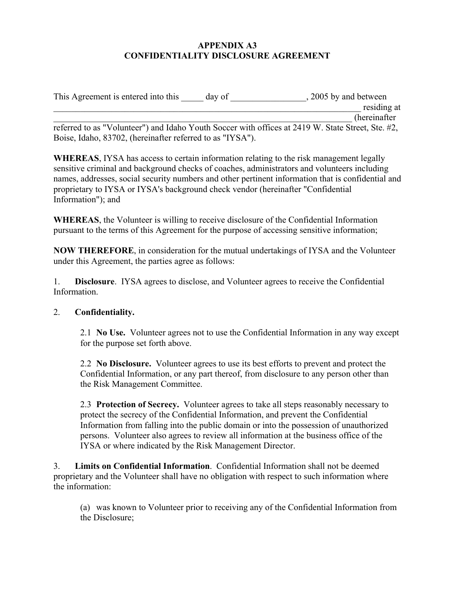## **APPENDIX A3 CONFIDENTIALITY DISCLOSURE AGREEMENT**

| This Agreement is entered into this                       | day of | 2005 by and between                                                                               |
|-----------------------------------------------------------|--------|---------------------------------------------------------------------------------------------------|
|                                                           |        | residing at                                                                                       |
|                                                           |        | <i>(hereinafter)</i>                                                                              |
|                                                           |        | referred to as "Volunteer") and Idaho Youth Soccer with offices at 2419 W. State Street, Ste. #2, |
| Boise, Idaho, 83702, (hereinafter referred to as "IYSA"). |        |                                                                                                   |

**WHEREAS**, IYSA has access to certain information relating to the risk management legally sensitive criminal and background checks of coaches, administrators and volunteers including names, addresses, social security numbers and other pertinent information that is confidential and proprietary to IYSA or IYSA's background check vendor (hereinafter "Confidential Information"); and

**WHEREAS**, the Volunteer is willing to receive disclosure of the Confidential Information pursuant to the terms of this Agreement for the purpose of accessing sensitive information;

**NOW THEREFORE**, in consideration for the mutual undertakings of IYSA and the Volunteer under this Agreement, the parties agree as follows:

1. **Disclosure**. IYSA agrees to disclose, and Volunteer agrees to receive the Confidential Information.

## 2. **Confidentiality.**

 2.1 **No Use.** Volunteer agrees not to use the Confidential Information in any way except for the purpose set forth above.

 2.2 **No Disclosure.** Volunteer agrees to use its best efforts to prevent and protect the Confidential Information, or any part thereof, from disclosure to any person other than the Risk Management Committee.

 2.3 **Protection of Secrecy.** Volunteer agrees to take all steps reasonably necessary to protect the secrecy of the Confidential Information, and prevent the Confidential Information from falling into the public domain or into the possession of unauthorized persons. Volunteer also agrees to review all information at the business office of the IYSA or where indicated by the Risk Management Director.

3. **Limits on Confidential Information**. Confidential Information shall not be deemed proprietary and the Volunteer shall have no obligation with respect to such information where the information:

 (a) was known to Volunteer prior to receiving any of the Confidential Information from the Disclosure;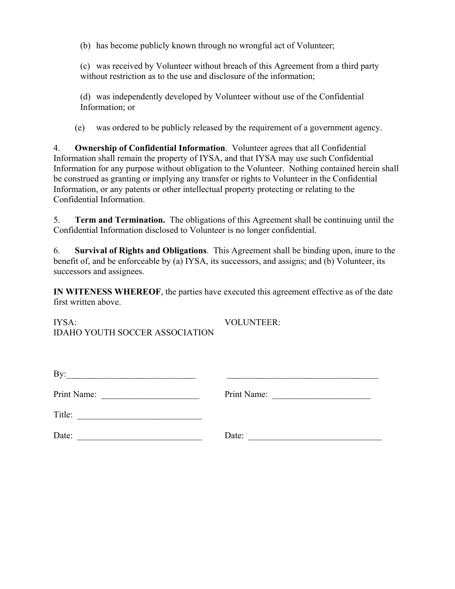(b) has become publicly known through no wrongful act of Volunteer;

 (c) was received by Volunteer without breach of this Agreement from a third party without restriction as to the use and disclosure of the information;

 (d) was independently developed by Volunteer without use of the Confidential Information; or

(e) was ordered to be publicly released by the requirement of a government agency.

4. **Ownership of Confidential Information**. Volunteer agrees that all Confidential Information shall remain the property of IYSA, and that IYSA may use such Confidential Information for any purpose without obligation to the Volunteer. Nothing contained herein shall be construed as granting or implying any transfer or rights to Volunteer in the Confidential Information, or any patents or other intellectual property protecting or relating to the Confidential Information.

5. **Term and Termination.** The obligations of this Agreement shall be continuing until the Confidential Information disclosed to Volunteer is no longer confidential.

6. **Survival of Rights and Obligations**. This Agreement shall be binding upon, inure to the benefit of, and be enforceable by (a) IYSA, its successors, and assigns; and (b) Volunteer, its successors and assignees.

**IN WITENESS WHEREOF**, the parties have executed this agreement effective as of the date first written above.

IYSA: VOLUNTEER: IDAHO YOUTH SOCCER ASSOCIATION

| - |  |
|---|--|
| ╌ |  |

Print Name: \_\_\_\_\_\_\_\_\_\_\_\_\_\_\_\_\_\_\_\_\_\_ Print Name: \_\_\_\_\_\_\_\_\_\_\_\_\_\_\_\_\_\_\_\_\_\_

| Title: |  |
|--------|--|
|--------|--|

Date: \_\_\_\_\_\_\_\_\_\_\_\_\_\_\_\_\_\_\_\_\_\_\_\_\_\_\_\_ Date: \_\_\_\_\_\_\_\_\_\_\_\_\_\_\_\_\_\_\_\_\_\_\_\_\_\_\_\_\_\_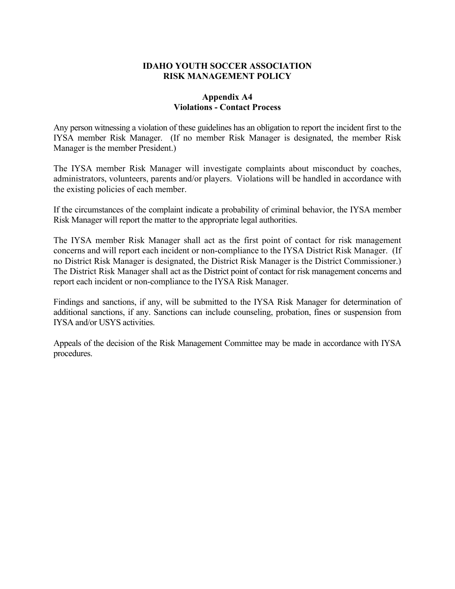## **IDAHO YOUTH SOCCER ASSOCIATION RISK MANAGEMENT POLICY**

## **Appendix A4 Violations - Contact Process**

Any person witnessing a violation of these guidelines has an obligation to report the incident first to the IYSA member Risk Manager. (If no member Risk Manager is designated, the member Risk Manager is the member President.)

The IYSA member Risk Manager will investigate complaints about misconduct by coaches, administrators, volunteers, parents and/or players. Violations will be handled in accordance with the existing policies of each member.

If the circumstances of the complaint indicate a probability of criminal behavior, the IYSA member Risk Manager will report the matter to the appropriate legal authorities.

The IYSA member Risk Manager shall act as the first point of contact for risk management concerns and will report each incident or non-compliance to the IYSA District Risk Manager. (If no District Risk Manager is designated, the District Risk Manager is the District Commissioner.) The District Risk Manager shall act as the District point of contact for risk management concerns and report each incident or non-compliance to the IYSA Risk Manager.

Findings and sanctions, if any, will be submitted to the IYSA Risk Manager for determination of additional sanctions, if any. Sanctions can include counseling, probation, fines or suspension from IYSA and/or USYS activities.

Appeals of the decision of the Risk Management Committee may be made in accordance with IYSA procedures.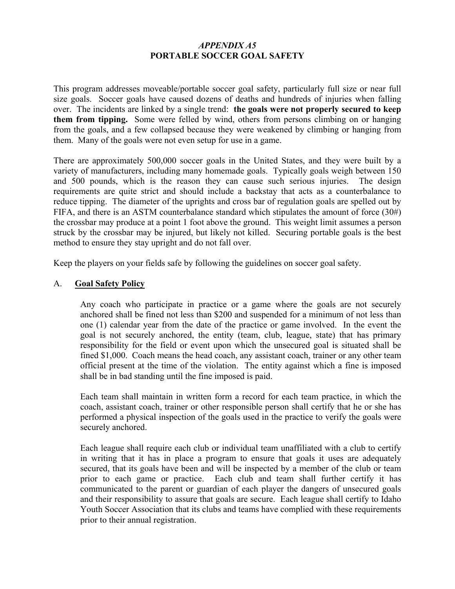## *APPENDIX A5*  **PORTABLE SOCCER GOAL SAFETY**

This program addresses moveable/portable soccer goal safety, particularly full size or near full size goals. Soccer goals have caused dozens of deaths and hundreds of injuries when falling over. The incidents are linked by a single trend: **the goals were not properly secured to keep them from tipping.** Some were felled by wind, others from persons climbing on or hanging from the goals, and a few collapsed because they were weakened by climbing or hanging from them. Many of the goals were not even setup for use in a game.

There are approximately 500,000 soccer goals in the United States, and they were built by a variety of manufacturers, including many homemade goals. Typically goals weigh between 150 and 500 pounds, which is the reason they can cause such serious injuries. The design requirements are quite strict and should include a backstay that acts as a counterbalance to reduce tipping. The diameter of the uprights and cross bar of regulation goals are spelled out by FIFA, and there is an ASTM counterbalance standard which stipulates the amount of force (30#) the crossbar may produce at a point 1 foot above the ground. This weight limit assumes a person struck by the crossbar may be injured, but likely not killed. Securing portable goals is the best method to ensure they stay upright and do not fall over.

Keep the players on your fields safe by following the guidelines on soccer goal safety.

## A. **Goal Safety Policy**

Any coach who participate in practice or a game where the goals are not securely anchored shall be fined not less than \$200 and suspended for a minimum of not less than one (1) calendar year from the date of the practice or game involved. In the event the goal is not securely anchored, the entity (team, club, league, state) that has primary responsibility for the field or event upon which the unsecured goal is situated shall be fined \$1,000. Coach means the head coach, any assistant coach, trainer or any other team official present at the time of the violation. The entity against which a fine is imposed shall be in bad standing until the fine imposed is paid.

Each team shall maintain in written form a record for each team practice, in which the coach, assistant coach, trainer or other responsible person shall certify that he or she has performed a physical inspection of the goals used in the practice to verify the goals were securely anchored.

Each league shall require each club or individual team unaffiliated with a club to certify in writing that it has in place a program to ensure that goals it uses are adequately secured, that its goals have been and will be inspected by a member of the club or team prior to each game or practice. Each club and team shall further certify it has communicated to the parent or guardian of each player the dangers of unsecured goals and their responsibility to assure that goals are secure. Each league shall certify to Idaho Youth Soccer Association that its clubs and teams have complied with these requirements prior to their annual registration.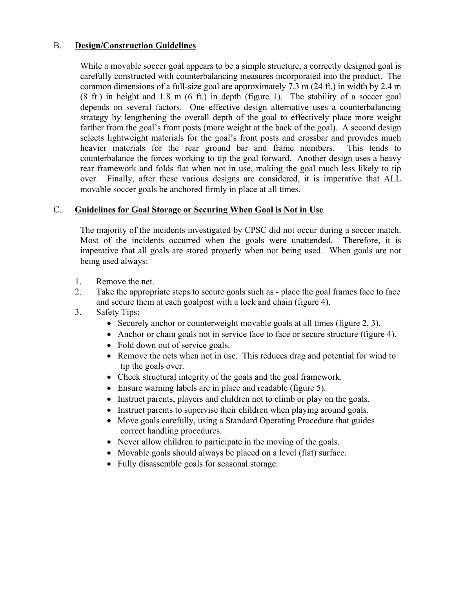## B. **Design/Construction Guidelines**

 While a movable soccer goal appears to be a simple structure, a correctly designed goal is carefully constructed with counterbalancing measures incorporated into the product. The common dimensions of a full-size goal are approximately 7.3 m (24 ft.) in width by 2.4 m (8 ft.) in height and 1.8 m (6 ft.) in depth (figure 1). The stability of a soccer goal depends on several factors. One effective design alternative uses a counterbalancing strategy by lengthening the overall depth of the goal to effectively place more weight farther from the goal's front posts (more weight at the back of the goal). A second design selects lightweight materials for the goal's front posts and crossbar and provides much heavier materials for the rear ground bar and frame members. This tends to counterbalance the forces working to tip the goal forward. Another design uses a heavy rear framework and folds flat when not in use, making the goal much less likely to tip over. Finally, after these various designs are considered, it is imperative that ALL movable soccer goals be anchored firmly in place at all times.

## C. **Guidelines for Goal Storage or Securing When Goal is Not in Use**

 The majority of the incidents investigated by CPSC did not occur during a soccer match. Most of the incidents occurred when the goals were unattended. Therefore, it is imperative that all goals are stored properly when not being used. When goals are not being used always:

- 1. Remove the net.
- 2. Take the appropriate steps to secure goals such as place the goal frames face to face and secure them at each goalpost with a lock and chain (figure 4).
- 3. Safety Tips:
	- Securely anchor or counterweight movable goals at all times (figure 2, 3).
	- Anchor or chain goals not in service face to face or secure structure (figure 4).
	- Fold down out of service goals.
	- Remove the nets when not in use. This reduces drag and potential for wind to tip the goals over.
	- Check structural integrity of the goals and the goal framework.
	- Ensure warning labels are in place and readable (figure 5).
	- Instruct parents, players and children not to climb or play on the goals.
	- Instruct parents to supervise their children when playing around goals.
	- Move goals carefully, using a Standard Operating Procedure that guides correct handling procedures.
	- Never allow children to participate in the moving of the goals.
	- Movable goals should always be placed on a level (flat) surface.
	- Fully disassemble goals for seasonal storage.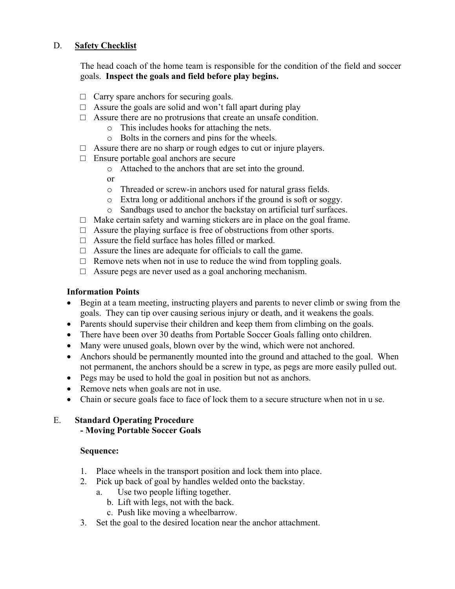## D. **Safety Checklist**

The head coach of the home team is responsible for the condition of the field and soccer goals. **Inspect the goals and field before play begins.** 

- $\Box$  Carry spare anchors for securing goals.
- $\Box$  Assure the goals are solid and won't fall apart during play
- $\Box$  Assure there are no protrusions that create an unsafe condition.
	- o This includes hooks for attaching the nets.
	- o Bolts in the corners and pins for the wheels.
- $\Box$  Assure there are no sharp or rough edges to cut or injure players.
- $\Box$  Ensure portable goal anchors are secure
	- o Attached to the anchors that are set into the ground.
	- or
	- o Threaded or screw-in anchors used for natural grass fields.
	- o Extra long or additional anchors if the ground is soft or soggy.
	- o Sandbags used to anchor the backstay on artificial turf surfaces.
- $\Box$  Make certain safety and warning stickers are in place on the goal frame.
- $\Box$  Assure the playing surface is free of obstructions from other sports.
- $\Box$  Assure the field surface has holes filled or marked.
- $\Box$  Assure the lines are adequate for officials to call the game.
- $\Box$  Remove nets when not in use to reduce the wind from toppling goals.
- $\Box$  Assure pegs are never used as a goal anchoring mechanism.

# **Information Points**

- Begin at a team meeting, instructing players and parents to never climb or swing from the goals. They can tip over causing serious injury or death, and it weakens the goals.
- Parents should supervise their children and keep them from climbing on the goals.
- There have been over 30 deaths from Portable Soccer Goals falling onto children.
- Many were unused goals, blown over by the wind, which were not anchored.
- Anchors should be permanently mounted into the ground and attached to the goal. When not permanent, the anchors should be a screw in type, as pegs are more easily pulled out.
- Pegs may be used to hold the goal in position but not as anchors.
- Remove nets when goals are not in use.
- Chain or secure goals face to face of lock them to a secure structure when not in u se.

## E. **Standard Operating Procedure - Moving Portable Soccer Goals**

## **Sequence:**

- 1. Place wheels in the transport position and lock them into place.
- 2. Pick up back of goal by handles welded onto the backstay.
	- a. Use two people lifting together.
		- b. Lift with legs, not with the back.
		- c. Push like moving a wheelbarrow.
- 3. Set the goal to the desired location near the anchor attachment.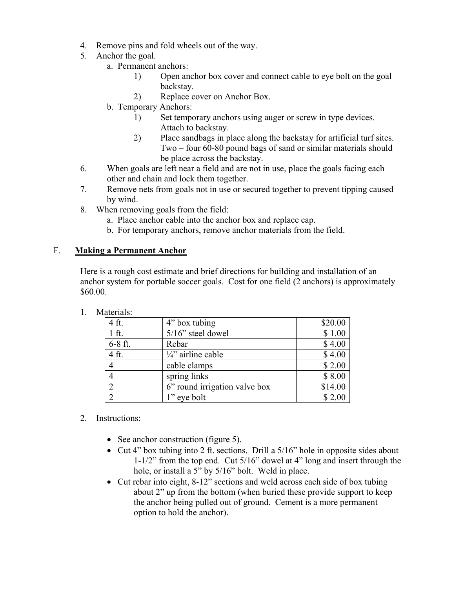- 4. Remove pins and fold wheels out of the way.
- 5. Anchor the goal.
	- a. Permanent anchors:
		- 1) Open anchor box cover and connect cable to eye bolt on the goal backstay.
		- 2) Replace cover on Anchor Box.
	- b. Temporary Anchors:
		- 1) Set temporary anchors using auger or screw in type devices. Attach to backstay.
		- 2) Place sandbags in place along the backstay for artificial turf sites. Two – four 60-80 pound bags of sand or similar materials should be place across the backstay.
- 6. When goals are left near a field and are not in use, place the goals facing each other and chain and lock them together.
- 7. Remove nets from goals not in use or secured together to prevent tipping caused by wind.
- 8. When removing goals from the field:
	- a. Place anchor cable into the anchor box and replace cap.
	- b. For temporary anchors, remove anchor materials from the field.

## F. **Making a Permanent Anchor**

Here is a rough cost estimate and brief directions for building and installation of an anchor system for portable soccer goals. Cost for one field (2 anchors) is approximately \$60.00.

- 4 ft.  $4"$  box tubing  $$20.00$ 1 ft. 5/16" steel dowel \$ 1.00 6-8 ft. Rebar 8 4.00 4 ft.  $\frac{1}{4}$  airline cable \$ 4.00 4 cable clamps \$ 2.00 4 spring links \$ 8.00 2 6<sup>"</sup> round irrigation valve box  $\frac{1}{14.00}$ 2 1" eye bolt  $$2.00$
- 1. Materials:

- 2. Instructions:
	- See anchor construction (figure 5).
	- Cut 4" box tubing into 2 ft. sections. Drill a 5/16" hole in opposite sides about 1-1/2" from the top end. Cut 5/16" dowel at 4" long and insert through the hole, or install a 5" by 5/16" bolt. Weld in place.
	- Cut rebar into eight, 8-12" sections and weld across each side of box tubing about 2" up from the bottom (when buried these provide support to keep the anchor being pulled out of ground. Cement is a more permanent option to hold the anchor).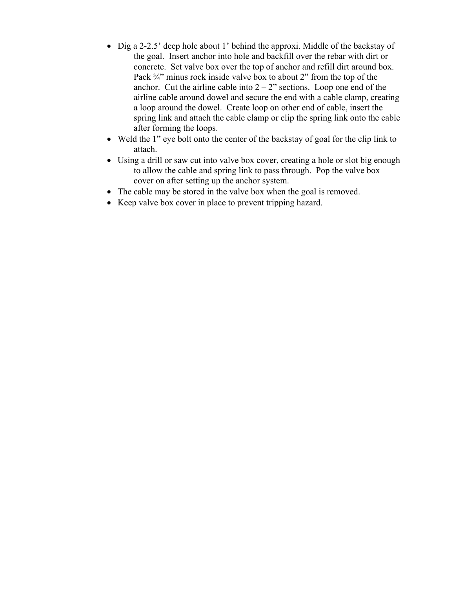- Dig a 2-2.5' deep hole about 1' behind the approxi. Middle of the backstay of the goal. Insert anchor into hole and backfill over the rebar with dirt or concrete. Set valve box over the top of anchor and refill dirt around box. Pack <sup>3/4</sup> minus rock inside valve box to about 2" from the top of the anchor. Cut the airline cable into  $2 - 2$ " sections. Loop one end of the airline cable around dowel and secure the end with a cable clamp, creating a loop around the dowel. Create loop on other end of cable, insert the spring link and attach the cable clamp or clip the spring link onto the cable after forming the loops.
- Weld the 1" eye bolt onto the center of the backstay of goal for the clip link to attach.
- Using a drill or saw cut into valve box cover, creating a hole or slot big enough to allow the cable and spring link to pass through. Pop the valve box cover on after setting up the anchor system.
- The cable may be stored in the valve box when the goal is removed.
- Keep valve box cover in place to prevent tripping hazard.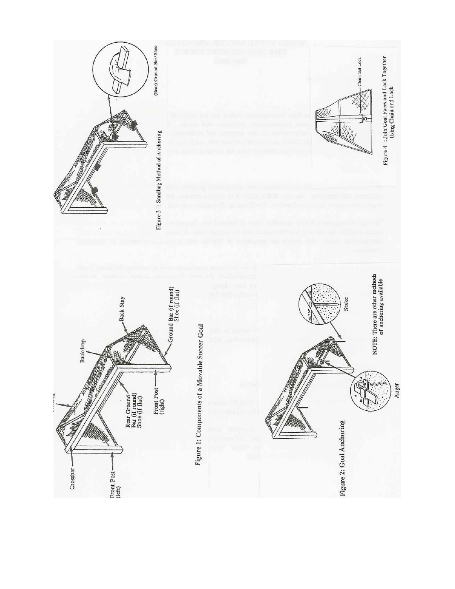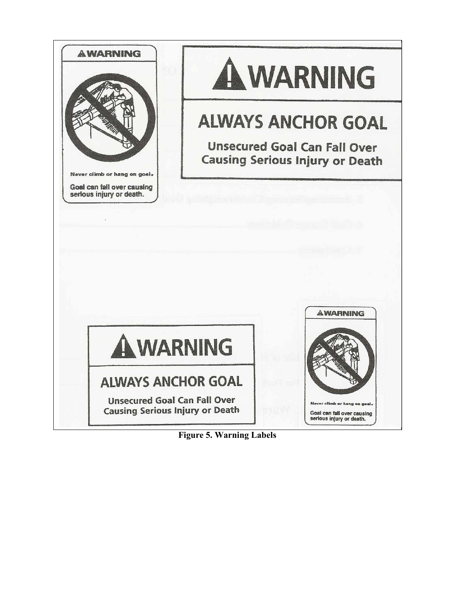

**Figure 5. Warning Labels**